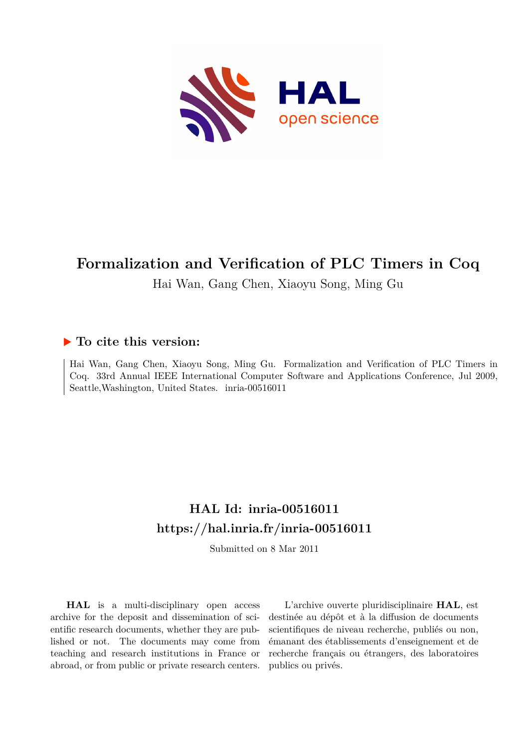

## **Formalization and Verification of PLC Timers in Coq**

Hai Wan, Gang Chen, Xiaoyu Song, Ming Gu

### **To cite this version:**

Hai Wan, Gang Chen, Xiaoyu Song, Ming Gu. Formalization and Verification of PLC Timers in Coq. 33rd Annual IEEE International Computer Software and Applications Conference, Jul 2009, Seattle, Washington, United States. inria-00516011

# **HAL Id: inria-00516011 <https://hal.inria.fr/inria-00516011>**

Submitted on 8 Mar 2011

**HAL** is a multi-disciplinary open access archive for the deposit and dissemination of scientific research documents, whether they are published or not. The documents may come from teaching and research institutions in France or abroad, or from public or private research centers.

L'archive ouverte pluridisciplinaire **HAL**, est destinée au dépôt et à la diffusion de documents scientifiques de niveau recherche, publiés ou non, émanant des établissements d'enseignement et de recherche français ou étrangers, des laboratoires publics ou privés.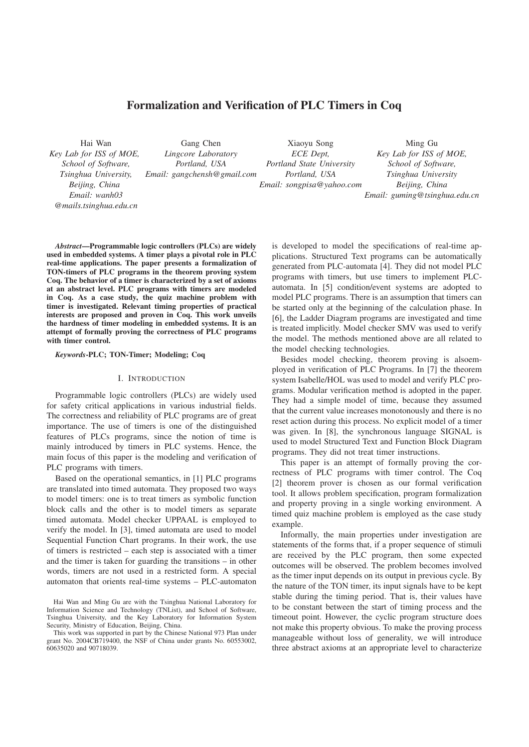### Formalization and Verification of PLC Timers in Coq

Hai Wan *Key Lab for ISS of MOE, School of Software, Tsinghua University, Beijing, China Email: wanh03 @mails.tsinghua.edu.cn*

Gang Chen *Lingcore Laboratory Portland, USA Email: gangchensh@gmail.com*

Xiaoyu Song *ECE Dept, Portland State University Portland, USA Email: songpisa@yahoo.com*

Ming Gu *Key Lab for ISS of MOE, School of Software, Tsinghua University Beijing, China Email: guming@tsinghua.edu.cn*

*Abstract*—Programmable logic controllers (PLCs) are widely used in embedded systems. A timer plays a pivotal role in PLC real-time applications. The paper presents a formalization of TON-timers of PLC programs in the theorem proving system Coq. The behavior of a timer is characterized by a set of axioms at an abstract level. PLC programs with timers are modeled in Coq. As a case study, the quiz machine problem with timer is investigated. Relevant timing properties of practical interests are proposed and proven in Coq. This work unveils the hardness of timer modeling in embedded systems. It is an attempt of formally proving the correctness of PLC programs with timer control.

#### *Keywords*-PLC; TON-Timer; Modeling; Coq

#### I. INTRODUCTION

Programmable logic controllers (PLCs) are widely used for safety critical applications in various industrial fields. The correctness and reliability of PLC programs are of great importance. The use of timers is one of the distinguished features of PLCs programs, since the notion of time is mainly introduced by timers in PLC systems. Hence, the main focus of this paper is the modeling and verification of PLC programs with timers.

Based on the operational semantics, in [1] PLC programs are translated into timed automata. They proposed two ways to model timers: one is to treat timers as symbolic function block calls and the other is to model timers as separate timed automata. Model checker UPPAAL is employed to verify the model. In [3], timed automata are used to model Sequential Function Chart programs. In their work, the use of timers is restricted – each step is associated with a timer and the timer is taken for guarding the transitions – in other words, timers are not used in a restricted form. A special automaton that orients real-time systems – PLC-automaton is developed to model the specifications of real-time applications. Structured Text programs can be automatically generated from PLC-automata [4]. They did not model PLC programs with timers, but use timers to implement PLCautomata. In [5] condition/event systems are adopted to model PLC programs. There is an assumption that timers can be started only at the beginning of the calculation phase. In [6], the Ladder Diagram programs are investigated and time is treated implicitly. Model checker SMV was used to verify the model. The methods mentioned above are all related to the model checking technologies.

Besides model checking, theorem proving is alsoemployed in verification of PLC Programs. In [7] the theorem system Isabelle/HOL was used to model and verify PLC programs. Modular verification method is adopted in the paper. They had a simple model of time, because they assumed that the current value increases monotonously and there is no reset action during this process. No explicit model of a timer was given. In [8], the synchronous language SIGNAL is used to model Structured Text and Function Block Diagram programs. They did not treat timer instructions.

This paper is an attempt of formally proving the correctness of PLC programs with timer control. The Coq [2] theorem prover is chosen as our formal verification tool. It allows problem specification, program formalization and property proving in a single working environment. A timed quiz machine problem is employed as the case study example.

Informally, the main properties under investigation are statements of the forms that, if a proper sequence of stimuli are received by the PLC program, then some expected outcomes will be observed. The problem becomes involved as the timer input depends on its output in previous cycle. By the nature of the TON timer, its input signals have to be kept stable during the timing period. That is, their values have to be constant between the start of timing process and the timeout point. However, the cyclic program structure does not make this property obvious. To make the proving process manageable without loss of generality, we will introduce three abstract axioms at an appropriate level to characterize

Hai Wan and Ming Gu are with the Tsinghua National Laboratory for Information Science and Technology (TNList), and School of Software, Tsinghua University, and the Key Laboratory for Information System Security, Ministry of Education, Beijing, China.

This work was supported in part by the Chinese National 973 Plan under grant No. 2004CB719400, the NSF of China under grants No. 60553002, 60635020 and 90718039.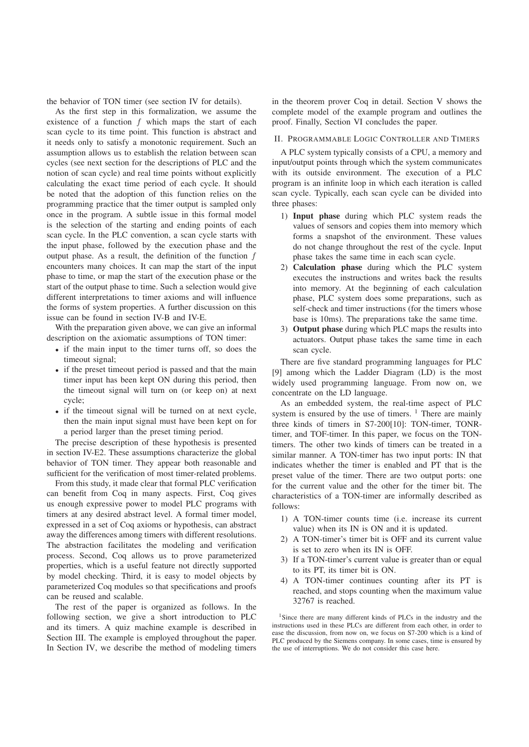the behavior of TON timer (see section IV for details).

As the first step in this formalization, we assume the existence of a function  $f$  which maps the start of each scan cycle to its time point. This function is abstract and it needs only to satisfy a monotonic requirement. Such an assumption allows us to establish the relation between scan cycles (see next section for the descriptions of PLC and the notion of scan cycle) and real time points without explicitly calculating the exact time period of each cycle. It should be noted that the adoption of this function relies on the programming practice that the timer output is sampled only once in the program. A subtle issue in this formal model is the selection of the starting and ending points of each scan cycle. In the PLC convention, a scan cycle starts with the input phase, followed by the execution phase and the output phase. As a result, the definition of the function  $f$ encounters many choices. It can map the start of the input phase to time, or map the start of the execution phase or the start of the output phase to time. Such a selection would give different interpretations to timer axioms and will influence the forms of system properties. A further discussion on this issue can be found in section IV-B and IV-E.

With the preparation given above, we can give an informal description on the axiomatic assumptions of TON timer:

- if the main input to the timer turns off, so does the timeout signal;
- if the preset timeout period is passed and that the main timer input has been kept ON during this period, then the timeout signal will turn on (or keep on) at next cycle;
- if the timeout signal will be turned on at next cycle, then the main input signal must have been kept on for a period larger than the preset timing period.

The precise description of these hypothesis is presented in section IV-E2. These assumptions characterize the global behavior of TON timer. They appear both reasonable and sufficient for the verification of most timer-related problems.

From this study, it made clear that formal PLC verification can benefit from Coq in many aspects. First, Coq gives us enough expressive power to model PLC programs with timers at any desired abstract level. A formal timer model, expressed in a set of Coq axioms or hypothesis, can abstract away the differences among timers with different resolutions. The abstraction facilitates the modeling and verification process. Second, Coq allows us to prove parameterized properties, which is a useful feature not directly supported by model checking. Third, it is easy to model objects by parameterized Coq modules so that specifications and proofs can be reused and scalable.

The rest of the paper is organized as follows. In the following section, we give a short introduction to PLC and its timers. A quiz machine example is described in Section III. The example is employed throughout the paper. In Section IV, we describe the method of modeling timers

in the theorem prover Coq in detail. Section V shows the complete model of the example program and outlines the proof. Finally, Section VI concludes the paper.

#### II. PROGRAMMABLE LOGIC CONTROLLER AND TIMERS

A PLC system typically consists of a CPU, a memory and input/output points through which the system communicates with its outside environment. The execution of a PLC program is an infinite loop in which each iteration is called scan cycle. Typically, each scan cycle can be divided into three phases:

- 1) Input phase during which PLC system reads the values of sensors and copies them into memory which forms a snapshot of the environment. These values do not change throughout the rest of the cycle. Input phase takes the same time in each scan cycle.
- 2) Calculation phase during which the PLC system executes the instructions and writes back the results into memory. At the beginning of each calculation phase, PLC system does some preparations, such as self-check and timer instructions (for the timers whose base is 10ms). The preparations take the same time.
- 3) Output phase during which PLC maps the results into actuators. Output phase takes the same time in each scan cycle.

There are five standard programming languages for PLC [9] among which the Ladder Diagram (LD) is the most widely used programming language. From now on, we concentrate on the LD language.

As an embedded system, the real-time aspect of PLC system is ensured by the use of timers.  $\frac{1}{1}$  There are mainly three kinds of timers in S7-200[10]: TON-timer, TONRtimer, and TOF-timer. In this paper, we focus on the TONtimers. The other two kinds of timers can be treated in a similar manner. A TON-timer has two input ports: IN that indicates whether the timer is enabled and PT that is the preset value of the timer. There are two output ports: one for the current value and the other for the timer bit. The characteristics of a TON-timer are informally described as follows:

- 1) A TON-timer counts time (i.e. increase its current value) when its IN is ON and it is updated.
- 2) A TON-timer's timer bit is OFF and its current value is set to zero when its IN is OFF.
- 3) If a TON-timer's current value is greater than or equal to its PT, its timer bit is ON.
- 4) A TON-timer continues counting after its PT is reached, and stops counting when the maximum value 32767 is reached.

<sup>1</sup>Since there are many different kinds of PLCs in the industry and the instructions used in these PLCs are different from each other, in order to ease the discussion, from now on, we focus on S7-200 which is a kind of PLC produced by the Siemens company. In some cases, time is ensured by the use of interruptions. We do not consider this case here.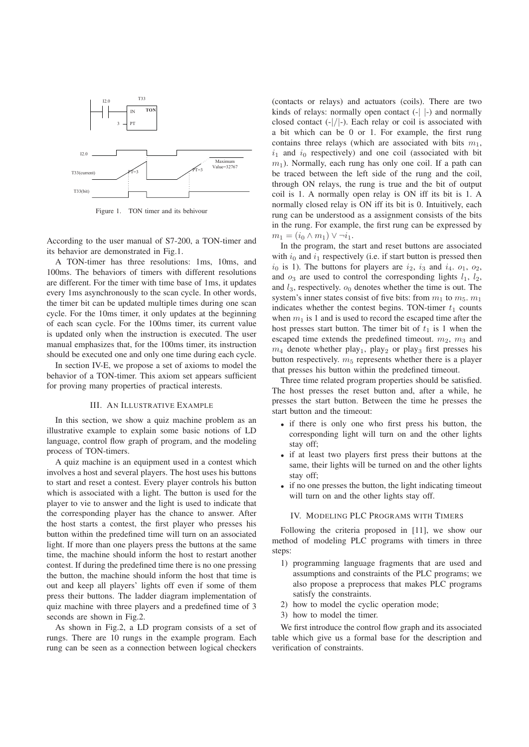

Figure 1. TON timer and its behivour

According to the user manual of S7-200, a TON-timer and its behavior are demonstrated in Fig.1.

A TON-timer has three resolutions: 1ms, 10ms, and 100ms. The behaviors of timers with different resolutions are different. For the timer with time base of 1ms, it updates every 1ms asynchronously to the scan cycle. In other words, the timer bit can be updated multiple times during one scan cycle. For the 10ms timer, it only updates at the beginning of each scan cycle. For the 100ms timer, its current value is updated only when the instruction is executed. The user manual emphasizes that, for the 100ms timer, its instruction should be executed one and only one time during each cycle.

In section IV-E, we propose a set of axioms to model the behavior of a TON-timer. This axiom set appears sufficient for proving many properties of practical interests.

#### III. AN ILLUSTRATIVE EXAMPLE

In this section, we show a quiz machine problem as an illustrative example to explain some basic notions of LD language, control flow graph of program, and the modeling process of TON-timers.

A quiz machine is an equipment used in a contest which involves a host and several players. The host uses his buttons to start and reset a contest. Every player controls his button which is associated with a light. The button is used for the player to vie to answer and the light is used to indicate that the corresponding player has the chance to answer. After the host starts a contest, the first player who presses his button within the predefined time will turn on an associated light. If more than one players press the buttons at the same time, the machine should inform the host to restart another contest. If during the predefined time there is no one pressing the button, the machine should inform the host that time is out and keep all players' lights off even if some of them press their buttons. The ladder diagram implementation of quiz machine with three players and a predefined time of 3 seconds are shown in Fig.2.

As shown in Fig.2, a LD program consists of a set of rungs. There are 10 rungs in the example program. Each rung can be seen as a connection between logical checkers

(contacts or relays) and actuators (coils). There are two kinds of relays: normally open contact (-| |-) and normally closed contact  $(-|/|-)$ . Each relay or coil is associated with a bit which can be 0 or 1. For example, the first rung contains three relays (which are associated with bits  $m_1$ ,  $i_1$  and  $i_0$  respectively) and one coil (associated with bit  $m_1$ ). Normally, each rung has only one coil. If a path can be traced between the left side of the rung and the coil, through ON relays, the rung is true and the bit of output coil is 1. A normally open relay is ON iff its bit is 1. A normally closed relay is ON iff its bit is 0. Intuitively, each rung can be understood as a assignment consists of the bits in the rung. For example, the first rung can be expressed by  $m_1 = (i_0 \wedge m_1) \vee \neg i_1.$ 

In the program, the start and reset buttons are associated with  $i_0$  and  $i_1$  respectively (i.e. if start button is pressed then  $i_0$  is 1). The buttons for players are  $i_2$ ,  $i_3$  and  $i_4$ .  $o_1$ ,  $o_2$ , and  $o_3$  are used to control the corresponding lights  $l_1$ ,  $l_2$ , and  $l_3$ , respectively.  $o_0$  denotes whether the time is out. The system's inner states consist of five bits: from  $m_1$  to  $m_5$ .  $m_1$ indicates whether the contest begins. TON-timer  $t_1$  counts when  $m_1$  is 1 and is used to record the escaped time after the host presses start button. The timer bit of  $t_1$  is 1 when the escaped time extends the predefined timeout.  $m_2$ ,  $m_3$  and  $m_4$  denote whether play<sub>1</sub>, play<sub>2</sub> or play<sub>3</sub> first presses his button respectively.  $m<sub>5</sub>$  represents whether there is a player that presses his button within the predefined timeout.

Three time related program properties should be satisfied. The host presses the reset button and, after a while, he presses the start button. Between the time he presses the start button and the timeout:

- if there is only one who first press his button, the corresponding light will turn on and the other lights stay off;
- if at least two players first press their buttons at the same, their lights will be turned on and the other lights stay off;
- if no one presses the button, the light indicating timeout will turn on and the other lights stay off.

#### IV. MODELING PLC PROGRAMS WITH TIMERS

Following the criteria proposed in [11], we show our method of modeling PLC programs with timers in three steps:

- 1) programming language fragments that are used and assumptions and constraints of the PLC programs; we also propose a preprocess that makes PLC programs satisfy the constraints.
- 2) how to model the cyclic operation mode;
- 3) how to model the timer.

We first introduce the control flow graph and its associated table which give us a formal base for the description and verification of constraints.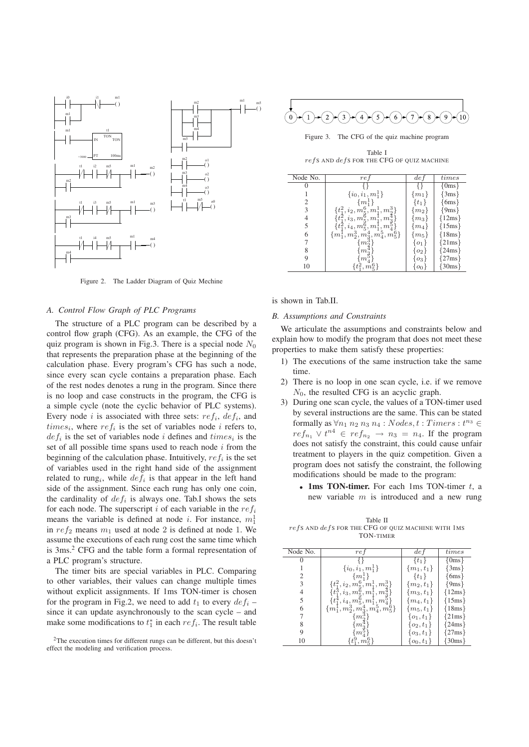

Figure 2. The Ladder Diagram of Quiz Mechine

#### *A. Control Flow Graph of PLC Programs*

The structure of a PLC program can be described by a control flow graph (CFG). As an example, the CFG of the quiz program is shown in Fig.3. There is a special node  $N_0$ that represents the preparation phase at the beginning of the calculation phase. Every program's CFG has such a node, since every scan cycle contains a preparation phase. Each of the rest nodes denotes a rung in the program. Since there is no loop and case constructs in the program, the CFG is a simple cycle (note the cyclic behavior of PLC systems). Every node i is associated with three sets:  $ref_i$ ,  $def_i$ , and  $times_i$ , where  $ref_i$  is the set of variables node i refers to,  $def_i$  is the set of variables node i defines and  $times_i$  is the set of all possible time spans used to reach node  $i$  from the beginning of the calculation phase. Intuitively,  $ref_i$  is the set of variables used in the right hand side of the assignment related to rung<sub>i</sub>, while  $def_i$  is that appear in the left hand side of the assignment. Since each rung has only one coin, the cardinality of  $def_i$  is always one. Tab.I shows the sets for each node. The superscript i of each variable in the  $ref_i$ means the variable is defined at node *i*. For instance,  $m_1^1$ in  $ref_2$  means  $m_1$  used at node 2 is defined at node 1. We assume the executions of each rung cost the same time which is 3ms.2 CFG and the table form a formal representation of a PLC program's structure.

The timer bits are special variables in PLC. Comparing to other variables, their values can change multiple times without explicit assignments. If 1ms TON-timer is chosen for the program in Fig.2, we need to add  $t_1$  to every  $def_i$  – since it can update asynchronously to the scan cycle – and make some modifications to  $t_1^*$  in each  $ref_i$ . The result table





Figure 3. The CFG of the quiz machine program

Table I  $refs$  and  $defs$  for the CFG of quiz machine

| Node No. | ref                                   | def            | times      |
|----------|---------------------------------------|----------------|------------|
|          |                                       |                | ${0ms}$    |
|          | $\{i_0, i_1, m_1^1\}$                 | $\{m_1\}$      | $\{3ms\}$  |
| 2        | $\{m_1^1\}$                           | $\{t_1\}$      | $\{6ms\}$  |
| 3        | $\{t_1^2, i_2, m_5^6, m_1^1, m_2^3\}$ | $\{m_2\}$      | ${9ms}$    |
| 4        | $t_1^2, i_3, m_5^6, m_1^1, m_3^4$     | $m_3$          | ${12ms}$   |
| 5        | $\{t^2_1, i_4, m^6_5, m^1_1, m^5_4\}$ | $ m_4 $        | $\{15ms\}$ |
| 6        | $\{m_1^1,m_2^3,m_3^4,m_4^5,m_5^6\}$   | $\{m_5\}$      | ${18ms}$   |
|          | m                                     | $\{o_1\}$      | $\{21ms\}$ |
| 8        | m                                     | 02             | {24ms}     |
| 9        | $m_{\lambda}^{\circ}$                 | 03             | 27ms       |
| 10       | $m_{\tilde{\tau}}$                    | O <sub>0</sub> | $\{30ms\}$ |

is shown in Tab.II.

#### *B. Assumptions and Constraints*

We articulate the assumptions and constraints below and explain how to modify the program that does not meet these properties to make them satisfy these properties:

- 1) The executions of the same instruction take the same time.
- 2) There is no loop in one scan cycle, i.e. if we remove  $N_0$ , the resulted CFG is an acyclic graph.
- 3) During one scan cycle, the values of a TON-timer used by several instructions are the same. This can be stated formally as  $\forall n_1 \; n_2 \; n_3 \; n_4 : Nodes, t : Times : t^{n_3} \in$  $ref_{n_1} \vee t^{n_4} \in ref_{n_2} \rightarrow n_3 = n_4$ . If the program does not satisfy the constraint, this could cause unfair treatment to players in the quiz competition. Given a program does not satisfy the constraint, the following modifications should be made to the program:
	- 1ms TON-timer. For each 1ms TON-timer  $t$ , a new variable  $m$  is introduced and a new rung

Table II  $refs$  and  $defs$  for the CFG of quiz machine with  $1ms$ TON-TIMER

| Node No. | re f                                              | de f           | times     |
|----------|---------------------------------------------------|----------------|-----------|
|          |                                                   | $\{t_1\}$      | $\{0ms\}$ |
|          | $\{i_0, i_1, m_1^1\}$                             | $\{m_1, t_1\}$ | $\{3ms\}$ |
| 2        | $\{m_1^{\perp}\}\$                                | $\{t_1\}$      | $\{6ms\}$ |
| 3        | $\{t_1^2, i_2, m_5^6, m_1^1, m_2^3\}$             | $\{m_2, t_1\}$ | {9ms}     |
| 4        | $\{t_1^3, i_3, m_5^6, m_1^1\}$<br>$\cdot$ , $m$ . | $\{m_3, t_1\}$ | 12ms      |
| 5        | $t_1^4, i_4, m_5^6, m_1^1, m_4^5$                 | $\{m_4, t_1\}$ | 15ms      |
| 6        | $\{m_1^1,m_2^3,m_3^4,m_4^5,m_5^6\}$               | $\{m_5, t_1\}$ | ${18ms}$  |
|          | $m_{\tilde{c}}$                                   | $\{o_1, t_1\}$ | 21ms      |
| 8        | m                                                 | $\{o_2, t_1\}$ | 24ms      |
| 9        | $m_i^5$                                           | $\{o_3, t_1\}$ | 27ms      |
| 10       | $m_{\tilde{z}}$                                   | $\{o_0, t_1\}$ | 30ms      |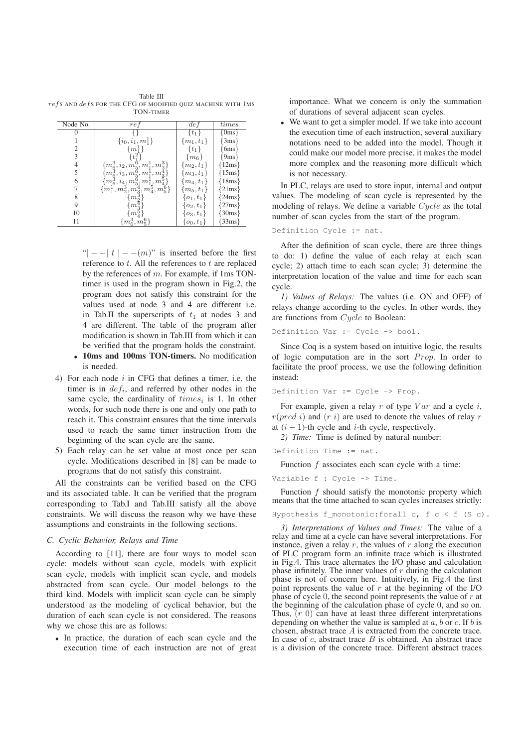Table III  $refs$  and  $defs$  for the CFG of modified quiz machine with  $1ms$ TON-TIMER

| Node No. | ref                                                                                                                 | de <sub>f</sub> | times             |
|----------|---------------------------------------------------------------------------------------------------------------------|-----------------|-------------------|
|          |                                                                                                                     | $\{t_1\}$       | $\{0ms\}$         |
|          | $\{i_0, i_1, m_1^1\}$                                                                                               | $\{m_1, t_1\}$  | $\{3ms\}$         |
| 2        | $\{m_1^{\perp}\}$                                                                                                   | $\{t_1\}$       | $\{6ms\}$         |
| 3        | $\{t^2\}$                                                                                                           | $\{m_6\}$       | $\{9ms\}$         |
| 4        | $\{m^3_6, i_2, m^6_5, m^1_1, m^3_2\} \{m^3_6, i_3, m^6_5, m^1_1, m^4_3\} \{m^3_6, i_4, m^6_5, m^1_{12}, m^0_{42}\}$ | $\{m_2, t_1\}$  | $\{12ms\}$        |
| 5        |                                                                                                                     | $\{m_3, t_1\}$  | $\{15ms\}$        |
| 6        |                                                                                                                     | $\{m_4, t_1\}$  | $\{18\text{ms}\}$ |
|          | $\{m_1^1, m_2^3, m_3^4, m_4^5, m_5^6\}$                                                                             | $\{m_5, t_1\}$  | ${21ms}$          |
| 8        | m                                                                                                                   | $\{o_1, t_1\}$  | ${24ms}$          |
| 9        | $m^{\circ}$                                                                                                         | $\{o_2, t_1\}$  | $\{27ms\}$        |
| 10       | m                                                                                                                   | $\{o_3, t_1\}$  | {30ms}            |
| 11       | $\{m^3_6, m^6_5\}$                                                                                                  | $\{o_0,t_1\}$   | {33ms}            |

"| − − | t | − − (m)" is inserted before the first reference to  $t$ . All the references to  $t$  are replaced by the references of m. For example, if 1ms TONtimer is used in the program shown in Fig.2, the program does not satisfy this constraint for the values used at node 3 and 4 are different i.e. in Tab.II the superscripts of  $t_1$  at nodes 3 and 4 are different. The table of the program after modification is shown in Tab.III from which it can be verified that the program holds the constraint.

- 10ms and 100ms TON-timers. No modification is needed.
- 4) For each node  $i$  in CFG that defines a timer, i.e. the timer is in  $def_i$ , and referred by other nodes in the same cycle, the cardinality of  $times_i$  is 1. In other words, for such node there is one and only one path to reach it. This constraint ensures that the time intervals used to reach the same timer instruction from the beginning of the scan cycle are the same.
- 5) Each relay can be set value at most once per scan cycle. Modifications described in [8] can be made to programs that do not satisfy this constraint.

All the constraints can be verified based on the CFG and its associated table. It can be verified that the program corresponding to Tab.I and Tab.III satisfy all the above constraints. We will discuss the reason why we have these assumptions and constraints in the following sections.

#### *C. Cyclic Behavior, Relays and Time*

According to [11], there are four ways to model scan cycle: models without scan cycle, models with explicit scan cycle, models with implicit scan cycle, and models abstracted from scan cycle. Our model belongs to the third kind. Models with implicit scan cycle can be simply understood as the modeling of cyclical behavior, but the duration of each scan cycle is not considered. The reasons why we chose this are as follows:

• In practice, the duration of each scan cycle and the execution time of each instruction are not of great

importance. What we concern is only the summation of durations of several adjacent scan cycles.

• We want to get a simpler model. If we take into account the execution time of each instruction, several auxiliary notations need to be added into the model. Though it could make our model more precise, it makes the model more complex and the reasoning more difficult which is not necessary.

In PLC, relays are used to store input, internal and output values. The modeling of scan cycle is represented by the modeling of relays. We define a variable Cycle as the total number of scan cycles from the start of the program.

Definition Cycle := nat.

After the definition of scan cycle, there are three things to do: 1) define the value of each relay at each scan cycle; 2) attach time to each scan cycle; 3) determine the interpretation location of the value and time for each scan cycle.

*1) Values of Relays:* The values (i.e. ON and OFF) of relays change according to the cycles. In other words, they are functions from Cycle to Boolean:

```
Definition Var := Cycle -> bool.
```
Since Coq is a system based on intuitive logic, the results of logic computation are in the sort  $Prop$ . In order to facilitate the proof process, we use the following definition instead:

Definition Var := Cycle -> Prop.

For example, given a relay  $r$  of type  $Var$  and a cycle  $i$ ,  $r(pred i)$  and  $(r i)$  are used to denote the values of relay r at  $(i - 1)$ -th cycle and *i*-th cycle, respectively.

*2) Time:* Time is defined by natural number:

Definition Time := nat.

Function  $f$  associates each scan cycle with a time:

Variable f : Cycle -> Time.

Function f should satisfy the monotonic property which means that the time attached to scan cycles increases strictly:

Hypothesis f\_monotonic:forall c,  $f c < f$  (S c).

*3) Interpretations of Values and Times:* The value of a relay and time at a cycle can have several interpretations. For instance, given a relay  $r$ , the values of  $r$  along the execution of PLC program form an infinite trace which is illustrated in Fig.4. This trace alternates the I/O phase and calculation phase infinitely. The inner values of  $r$  during the calculation phase is not of concern here. Intuitively, in Fig.4 the first point represents the value of  $r$  at the beginning of the I/O phase of cycle 0, the second point represents the value of  $r$  at the beginning of the calculation phase of cycle 0, and so on. Thus,  $(r\ 0)$  can have at least three different interpretations depending on whether the value is sampled at  $a, b$  or  $c$ . If  $b$  is chosen, abstract trace A is extracted from the concrete trace. In case of  $c$ , abstract trace  $B$  is obtained. An abstract trace is a division of the concrete trace. Different abstract traces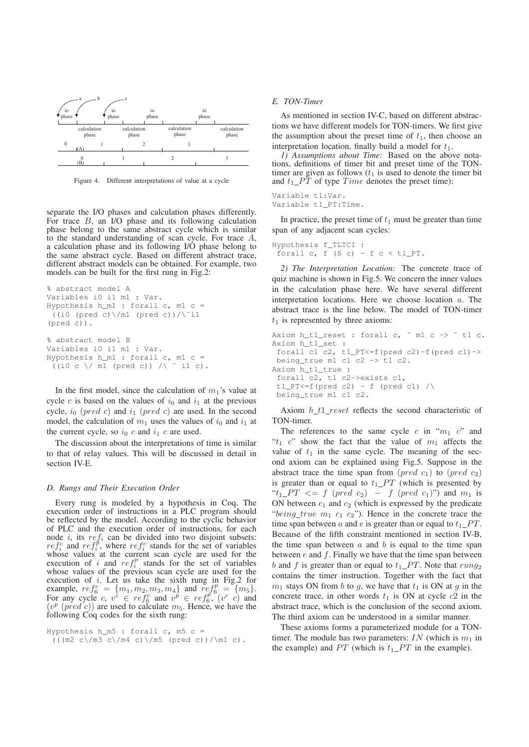

Figure 4. Different interpretations of value at a cycle

separate the I/O phases and calculation phases differently. For trace  $B$ , an I/O phase and its following calculation phase belong to the same abstract cycle which is similar to the standard understanding of scan cycle. For trace A, a calculation phase and its following I/O phase belong to the same abstract cycle. Based on different abstract trace, different abstract models can be obtained. For example, two models can be built for the first rung in Fig.2:

```
% abstract model A
Variables i0 i1 m1 : Var.
Hypothesis h_m1 : forall c, m1 c =
 ((i0 (pred c)\)/ml (pred c))/\^i1(pred c)).
% abstract model B
Variables i0 i1 m1 : Var.
Hypothesis h_m1 : forall c, m1 c =
 ((i0 c \sqrt{ml (pred c)}) / \sqrt{il c}).
```
In the first model, since the calculation of  $m_1$ 's value at cycle c is based on the values of  $i_0$  and  $i_1$  at the previous cycle,  $i_0$  (pred c) and  $i_1$  (pred c) are used. In the second model, the calculation of  $m_1$  uses the values of  $i_0$  and  $i_1$  at the current cycle, so  $i_0$  c and  $i_1$  c are used.

The discussion about the interpretations of time is similar to that of relay values. This will be discussed in detail in section IV-E.

#### *D. Rungs and Their Execution Order*

Every rung is modeled by a hypothesis in Coq. The execution order of instructions in a PLC program should be reflected by the model. According to the cyclic behavior of PLC and the execution order of instructions, for each node i, its  $ref_i$  can be divided into two disjoint subsets:  $ref_i^c$  and  $ref_i^b$ , where  $ref_i^c$  stands for the set of variables whose values at the current scan cycle are used for the execution of i and  $ref_i^p$  stands for the set of variables whose values of the previous scan cycle are used for the execution of  $i$ . Let us take the sixth rung in Fig.2 for example,  $ref_6^c = \{m_1, m_2, m_3, m_4\}$  and  $ref_6^p = \{m_5\}$ . For any cycle c,  $v^c \in ref_6^c$  and  $v^p \in ref_6^{p^r}$  ( $v^c$  c) and  $(v^{p} (pred c))$  are used to calculate  $m_5$ . Hence, we have the following Coq codes for the sixth rung:

```
Hypothesis h_m5 : forall c, m5 c =((\text{m2 } c)/\text{m3 } c)/\text{m4 } c) (pred c))/\m1 c).
```
#### *E. TON-Timer*

As mentioned in section IV-C, based on different abstractions we have different models for TON-timers. We first give the assumption about the preset time of  $t_1$ , then choose an interpretation location, finally build a model for  $t_1$ .

*1) Assumptions about Time:* Based on the above notations, definitions of timer bit and preset time of the TONtimer are given as follows  $(t_1)$  is used to denote the timer bit and  $t_1$  PT of type Time denotes the preset time):

Variable t1:Var. Variable t1\_PT:Time.

In practice, the preset time of  $t_1$  must be greater than time span of any adjacent scan cycles:

Hypothesis f\_TLTCI : forall c,  $f(S c) - f c < t1_PT$ .

*2) The Interpretation Location:* The concrete trace of quiz machine is shown in Fig.5. We concern the inner values in the calculation phase here. We have several different interpretation locations. Here we choose location a. The abstract trace is the line below. The model of TON-timer  $t_1$  is represented by three axioms:

```
Axiom h_t1_reset : forall c, \tilde{m} m1 c -> \tilde{m} t1 c.
Axiom h_t1_set :
 forall c1 c2, t1_PT<=f(pred c2)-f(pred c1)->
 being_true m1 c1 c2 -> t1 c2.
Axiom h_t1_true :
 forall c2, t1 c2->exists c1,
 t1<sup>PT <= f(pred c2) - f (pred c1) /\</sup>
 being_true m1 c1 c2.
```
Axiom  $h_t$   $t_1$  reset reflects the second characteristic of TON-timer.

The references to the same cycle  $c$  in " $m_1$   $c$ " and " $t_1$  c" show the fact that the value of  $m_1$  affects the value of  $t_1$  in the same cycle. The meaning of the second axiom can be explained using Fig.5. Suppose in the abstract trace the time span from  $(pred c_1)$  to  $(pred c_2)$ is greater than or equal to  $t_1$   $PT$  (which is presented by " $t_1$  PT  $\leq$  f (pred c<sub>2</sub>) – f (pred c<sub>1</sub>)") and m<sub>1</sub> is ON between  $c_1$  and  $c_2$  (which is expressed by the predicate "being true  $m_1$   $c_1$   $c_2$ "). Hence in the concrete trace the time span between a and e is greater than or equal to  $t_1$   $PT$ . Because of the fifth constraint mentioned in section IV-B, the time span between  $a$  and  $b$  is equal to the time span between  $e$  and  $f$ . Finally we have that the time span between b and f is greater than or equal to  $t_1$   $PT$ . Note that  $rung_2$ contains the timer instruction. Together with the fact that  $m_1$  stays ON from b to g, we have that  $t_1$  is ON at g in the concrete trace, in other words  $t_1$  is ON at cycle  $c2$  in the abstract trace, which is the conclusion of the second axiom. The third axiom can be understood in a similar manner.

These axioms forms a parameterized module for a TONtimer. The module has two parameters:  $IN$  (which is  $m_1$  in the example) and  $PT$  (which is  $t_1$   $PT$  in the example).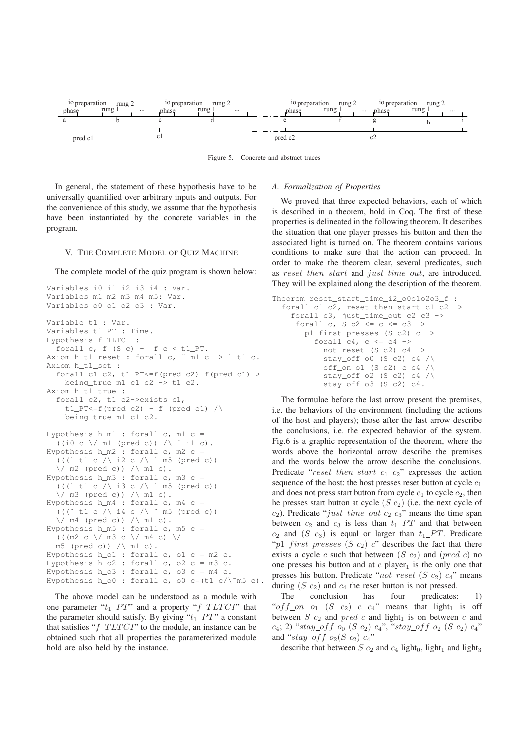

Figure 5. Concrete and abstract traces

In general, the statement of these hypothesis have to be universally quantified over arbitrary inputs and outputs. For the convenience of this study, we assume that the hypothesis have been instantiated by the concrete variables in the program.

#### V. THE COMPLETE MODEL OF QUIZ MACHINE

The complete model of the quiz program is shown below:

```
Variables i0 i1 i2 i3 i4 : Var.
Variables m1 m2 m3 m4 m5: Var.
Variables o0 o1 o2 o3 : Var.
Variable t1 : Var.
Variables t1_PT : Time.
Hypothesis f_TLTCI :
  forall c, f(S c) - f c < t1 PT.
Axiom h_t1_reset : forall c, \overline{m} c -> \overline{m} t1 c.
Axiom h_t1_set :
  forall c1 c2, t1_PT<=f(pred c2)-f(pred c1) ->
    being_true m1 c1 c2 -> t1 c2.
Axiom h_t1_true :
  forall c2, t1 c2->exists c1,
    t1 pT<=f (pred c2) - f (pred c1) /\
    being_true m1 c1 c2.
Hypothesis h_m1 : forall c, m1 c =
  ((i0 c \setminus / m1 (pred c)) / \setminus i1 c).
Hypothesis h_m2 : forall c, m2 c =((( 1 c) \times 12 c) \times 12 c)\setminus / m2 (pred c)) / m1 c).
Hypothesis h_m3 : forall c, m3 c =((\text{``t1 c)} \land \text{is c}) \land \text{``m5 (pred c)})\setminus m3 (pred c)) \setminus m1 c).
Hypothesis h_m4 : forall c, m4 c =((\text{at } c \wedge id c \wedge i \wedge c \wedge m5 \text{ (pred } c))\setminus / m4 (pred c)) / m1 c).
Hypothesis h_m5 : forall c, m5 c =
  (((m2 c \/ m3 c \/ m4 c) \/
  m5 (pred c)) /\ m1 c).
Hypothesis h_o1 : forall c, o1 c = m2 c.
Hypothesis h_o2 : forall c, o2 c = m3 c.
Hypothesis h_03: forall c, o3 c = m4 c.
Hypothesis h o0 : forall c, o0 c=(t1 c/\~m5 c).
```
The above model can be understood as a module with one parameter " $t_1$   $PT$ " and a property " $f$   $T L T C I$ " that the parameter should satisfy. By giving " $t_1$  PT" a constant that satisfies " $f TLTCT$ " to the module, an instance can be obtained such that all properties the parameterized module hold are also held by the instance.

#### *A. Formalization of Properties*

We proved that three expected behaviors, each of which is described in a theorem, hold in Coq. The first of these properties is delineated in the following theorem. It describes the situation that one player presses his button and then the associated light is turned on. The theorem contains various conditions to make sure that the action can proceed. In order to make the theorem clear, several predicates, such as reset\_then\_start and just\_time\_out, are introduced. They will be explained along the description of the theorem.

```
Theorem reset_start_time_i2_o0o1o2o3_f :
  forall c1 c2, reset_then_start c1 \overline{c} ->
    forall c3, just_time_out c2 c3 ->
     forall c, S c2 \leq C \leq C \leq Cp1_first_presses (S c2) c ->
         forall c4, c \leq c4 ->
           not_reset (S c2) c4 ->
           stay_off o0 (S c2) c4 /off_on o1 (S c2) c c4 /stay_off o2 (S c2) c4 /\sqrt{ }stay_off o3 (S c2) c4.
```
The formulae before the last arrow present the premises, i.e. the behaviors of the environment (including the actions of the host and players); those after the last arrow describe the conclusions, i.e. the expected behavior of the system. Fig.6 is a graphic representation of the theorem, where the words above the horizontal arrow describe the premises and the words below the arrow describe the conclusions. Predicate " $reset\_then\_start$   $c_1$   $c_2$ " expresses the action sequence of the host: the host presses reset button at cycle  $c_1$ and does not press start button from cycle  $c_1$  to cycle  $c_2$ , then he presses start button at cycle  $(S\ c_2)$  (i.e. the next cycle of  $c_2$ ). Predicate "just\_time\_out  $c_2$   $c_3$ " means the time span between  $c_2$  and  $c_3$  is less than  $t_1$   $PT$  and that between  $c_2$  and  $(S \ c_3)$  is equal or larger than  $t_1 \_PT$ . Predicate " $p1\_first\_presses$  (S  $c_2$ ) c" describes the fact that there exists a cycle c such that between  $(S\ c_2)$  and  $(pred\ c)$  no one presses his button and at  $c$  player<sub>1</sub> is the only one that presses his button. Predicate " $not\_reset$  (S  $c_2$ )  $c_4$ " means during  $(S \ c_2)$  and  $c_4$  the reset button is not pressed.

The conclusion has four predicates: 1) "of  $f\_{on}$   $o_1$   $(S\ c_2)$   $c\ c_4$ " means that light<sub>1</sub> is off between S  $c_2$  and pred c and light<sub>1</sub> is on between c and  $c_4$ ; 2) "stay\_off  $o_0$  (S  $c_2$ )  $c_4$ ", "stay\_off  $o_2$  (S  $c_2$ )  $c_4$ " and "stay of f  $o_2(S\ c_2)\ c_4$ "

describe that between S  $c_2$  and  $c_4$  light<sub>0</sub>, light<sub>1</sub> and light<sub>3</sub>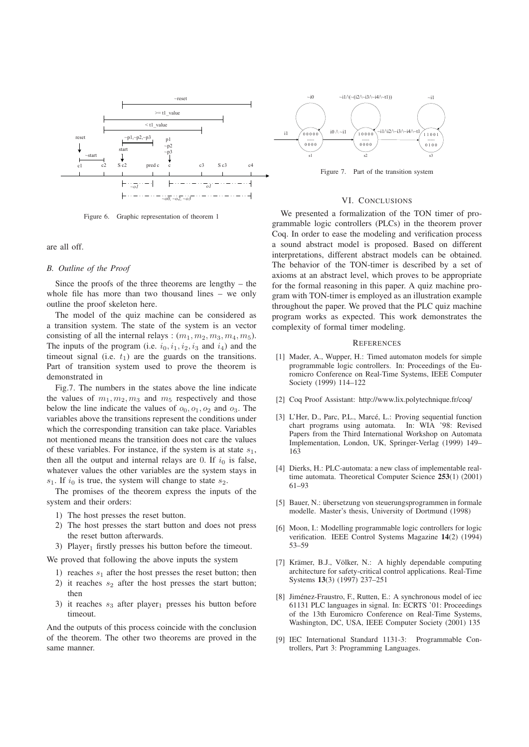

Figure 6. Graphic representation of theorem 1

#### are all off.

#### *B. Outline of the Proof*

Since the proofs of the three theorems are lengthy – the whole file has more than two thousand lines – we only outline the proof skeleton here.

The model of the quiz machine can be considered as a transition system. The state of the system is an vector consisting of all the internal relays :  $(m_1, m_2, m_3, m_4, m_5)$ . The inputs of the program (i.e.  $i_0$ ,  $i_1$ ,  $i_2$ ,  $i_3$  and  $i_4$ ) and the timeout signal (i.e.  $t_1$ ) are the guards on the transitions. Part of transition system used to prove the theorem is demonstrated in

Fig.7. The numbers in the states above the line indicate the values of  $m_1, m_2, m_3$  and  $m_5$  respectively and those below the line indicate the values of  $o_0$ ,  $o_1$ ,  $o_2$  and  $o_3$ . The variables above the transitions represent the conditions under which the corresponding transition can take place. Variables not mentioned means the transition does not care the values of these variables. For instance, if the system is at state  $s_1$ , then all the output and internal relays are 0. If  $i_0$  is false, whatever values the other variables are the system stays in  $s_1$ . If  $i_0$  is true, the system will change to state  $s_2$ .

The promises of the theorem express the inputs of the system and their orders:

- 1) The host presses the reset button.
- 2) The host presses the start button and does not press the reset button afterwards.
- 3) Player<sub>1</sub> firstly presses his button before the timeout.

We proved that following the above inputs the system

- 1) reaches  $s_1$  after the host presses the reset button; then
- 2) it reaches  $s_2$  after the host presses the start button; then
- 3) it reaches  $s_3$  after player<sub>1</sub> presses his button before timeout.

And the outputs of this process coincide with the conclusion of the theorem. The other two theorems are proved in the same manner.



Figure 7. Part of the transition system

#### VI. CONCLUSIONS

We presented a formalization of the TON timer of programmable logic controllers (PLCs) in the theorem prover Coq. In order to ease the modeling and verification process a sound abstract model is proposed. Based on different interpretations, different abstract models can be obtained. The behavior of the TON-timer is described by a set of axioms at an abstract level, which proves to be appropriate for the formal reasoning in this paper. A quiz machine program with TON-timer is employed as an illustration example throughout the paper. We proved that the PLC quiz machine program works as expected. This work demonstrates the complexity of formal timer modeling.

#### **REFERENCES**

- [1] Mader, A., Wupper, H.: Timed automaton models for simple programmable logic controllers. In: Proceedings of the Euromicro Conference on Real-Time Systems, IEEE Computer Society (1999) 114–122
- [2] Coq Proof Assistant: http://www.lix.polytechnique.fr/coq/
- [3] L'Her, D., Parc, P.L., Marcé, L.: Proving sequential function chart programs using automata. In: WIA '98: Revised Papers from the Third International Workshop on Automata Implementation, London, UK, Springer-Verlag (1999) 149– 163
- [4] Dierks, H.: PLC-automata: a new class of implementable realtime automata. Theoretical Computer Science 253(1) (2001) 61–93
- [5] Bauer, N.: übersetzung von steuerungsprogrammen in formale modelle. Master's thesis, University of Dortmund (1998)
- [6] Moon, I.: Modelling programmable logic controllers for logic verification. IEEE Control Systems Magazine 14(2) (1994) 53–59
- [7] Krämer, B.J., Völker, N.: A highly dependable computing architecture for safety-critical control applications. Real-Time Systems 13(3) (1997) 237–251
- [8] Jiménez-Fraustro, F., Rutten, E.: A synchronous model of iec 61131 PLC languages in signal. In: ECRTS '01: Proceedings of the 13th Euromicro Conference on Real-Time Systems, Washington, DC, USA, IEEE Computer Society (2001) 135
- [9] IEC International Standard 1131-3: Programmable Controllers, Part 3: Programming Languages.